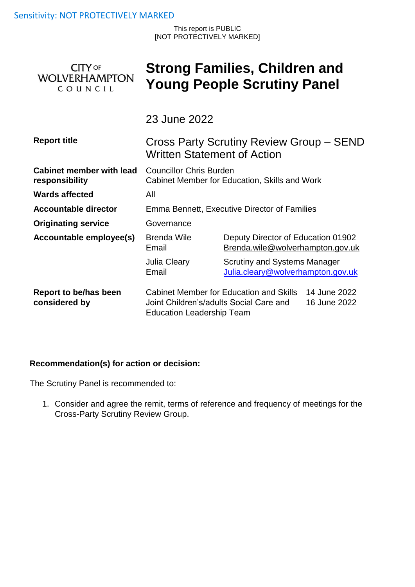This report is PUBLIC [NOT PROTECTIVELY MARKED]

| <b>CITY OF</b>       |  |  |  |  |
|----------------------|--|--|--|--|
| <b>WOLVERHAMPTON</b> |  |  |  |  |
| COUNCIL              |  |  |  |  |

# **Strong Families, Children and Young People Scrutiny Panel**

23 June 2022

| <b>Report title</b>                               | Cross Party Scrutiny Review Group - SEND<br><b>Written Statement of Action</b>                                                                  |                                                                   |                                                                        |  |
|---------------------------------------------------|-------------------------------------------------------------------------------------------------------------------------------------------------|-------------------------------------------------------------------|------------------------------------------------------------------------|--|
| <b>Cabinet member with lead</b><br>responsibility | <b>Councillor Chris Burden</b><br>Cabinet Member for Education, Skills and Work                                                                 |                                                                   |                                                                        |  |
| <b>Wards affected</b>                             | All                                                                                                                                             |                                                                   |                                                                        |  |
| Accountable director                              | Emma Bennett, Executive Director of Families                                                                                                    |                                                                   |                                                                        |  |
| <b>Originating service</b>                        | Governance                                                                                                                                      |                                                                   |                                                                        |  |
| Accountable employee(s)                           | Brenda Wile<br>Email                                                                                                                            |                                                                   | Deputy Director of Education 01902<br>Brenda.wile@wolverhampton.gov.uk |  |
|                                                   | Julia Cleary<br>Email                                                                                                                           | Scrutiny and Systems Manager<br>Julia.cleary@wolverhampton.gov.uk |                                                                        |  |
| Report to be/has been<br>considered by            | Cabinet Member for Education and Skills<br>14 June 2022<br>Joint Children's/adults Social Care and<br>16 June 2022<br>Education Leadership Team |                                                                   |                                                                        |  |

# **Recommendation(s) for action or decision:**

The Scrutiny Panel is recommended to:

1. Consider and agree the remit, terms of reference and frequency of meetings for the Cross-Party Scrutiny Review Group.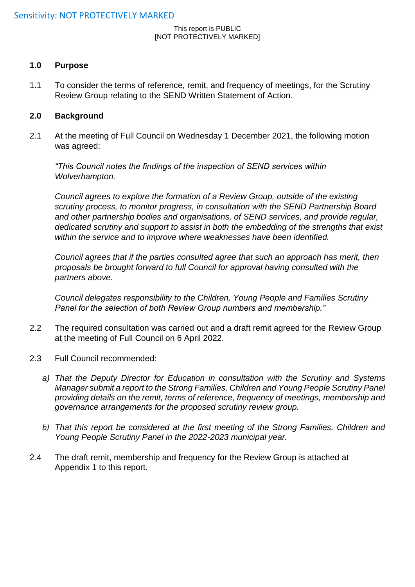#### This report is PUBLIC [NOT PROTECTIVELY MARKED]

#### **1.0 Purpose**

1.1 To consider the terms of reference, remit, and frequency of meetings, for the Scrutiny Review Group relating to the SEND Written Statement of Action.

#### **2.0 Background**

2.1 At the meeting of Full Council on Wednesday 1 December 2021, the following motion was agreed:

*"This Council notes the findings of the inspection of SEND services within Wolverhampton.* 

*Council agrees to explore the formation of a Review Group, outside of the existing scrutiny process, to monitor progress, in consultation with the SEND Partnership Board and other partnership bodies and organisations, of SEND services, and provide regular, dedicated scrutiny and support to assist in both the embedding of the strengths that exist within the service and to improve where weaknesses have been identified.* 

*Council agrees that if the parties consulted agree that such an approach has merit, then proposals be brought forward to full Council for approval having consulted with the partners above.* 

*Council delegates responsibility to the Children, Young People and Families Scrutiny Panel for the selection of both Review Group numbers and membership."*

- 2.2 The required consultation was carried out and a draft remit agreed for the Review Group at the meeting of Full Council on 6 April 2022.
- 2.3 Full Council recommended:
	- *a) That the Deputy Director for Education in consultation with the Scrutiny and Systems Manager submit a report to the Strong Families, Children and Young People Scrutiny Panel providing details on the remit, terms of reference, frequency of meetings, membership and governance arrangements for the proposed scrutiny review group.*
	- *b) That this report be considered at the first meeting of the Strong Families, Children and Young People Scrutiny Panel in the 2022-2023 municipal year.*
- 2.4 The draft remit, membership and frequency for the Review Group is attached at Appendix 1 to this report.